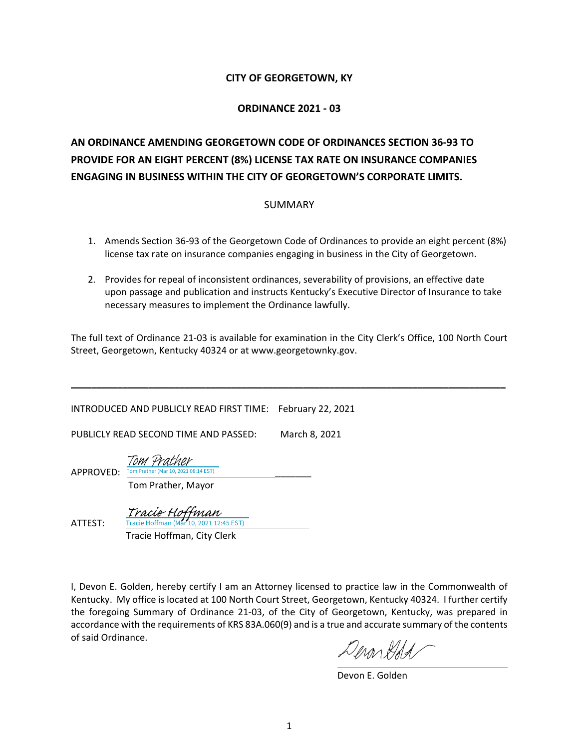#### **CITY OF GEORGETOWN, KY**

#### **ORDINANCE 2021 - 03**

## **AN ORDINANCE AMENDING GEORGETOWN CODE OF ORDINANCES SECTION 36-93 TO PROVIDE FOR AN EIGHT PERCENT (8%) LICENSE TAX RATE ON INSURANCE COMPANIES ENGAGING IN BUSINESS WITHIN THE CITY OF GEORGETOWN'S CORPORATE LIMITS.**

#### SUMMARY

- 1. Amends Section 36-93 of the Georgetown Code of Ordinances to provide an eight percent (8%) license tax rate on insurance companies engaging in business in the City of Georgetown.
- 2. Provides for repeal of inconsistent ordinances, severability of provisions, an effective date upon passage and publication and instructs Kentucky's Executive Director of Insurance to take necessary measures to implement the Ordinance lawfully.

The full text of Ordinance 21-03 is available for examination in the City Clerk's Office, 100 North Court Street, Georgetown, Kentucky 40324 or at www.georgetownky.gov.

**\_\_\_\_\_\_\_\_\_\_\_\_\_\_\_\_\_\_\_\_\_\_\_\_\_\_\_\_\_\_\_\_\_\_\_\_\_\_\_\_\_\_\_\_\_\_\_\_\_\_\_\_\_\_\_\_\_\_\_\_\_\_\_\_\_\_\_\_\_\_\_\_\_\_\_\_\_\_\_\_\_\_\_\_**

INTRODUCED AND PUBLICLY READ FIRST TIME: February 22, 2021

PUBLICLY READ SECOND TIME AND PASSED: March 8, 2021

APPROVED:  $\frac{Tom \, Prather \,(Mar\,10, 2021\,08:14\,EST)}{T}$ Tom Prather

Tom Prather, Mayor

ATTEST:

Tracie Hoffman (Mar 10, 2021 12:45 EST) [Tracie Hoffman](https://na1.documents.adobe.com/verifier?tx=CBJCHBCAABAA9VUgMcvDEcOAoIHYMEQx9l1MZz5Su7B1)

Tracie Hoffman, City Clerk

I, Devon E. Golden, hereby certify I am an Attorney licensed to practice law in the Commonwealth of Kentucky. My office is located at 100 North Court Street, Georgetown, Kentucky 40324. I further certify the foregoing Summary of Ordinance 21-03, of the City of Georgetown, Kentucky, was prepared in accordance with the requirements of KRS 83A.060(9) and is a true and accurate summary of the contents of said Ordinance.

Inon Hald

Devon E. Golden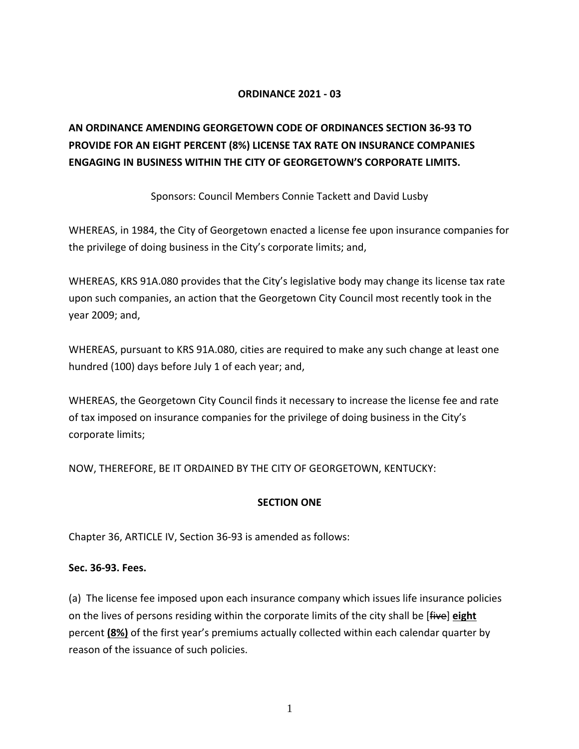#### **ORDINANCE 2021 - 03**

## **AN ORDINANCE AMENDING GEORGETOWN CODE OF ORDINANCES SECTION 36-93 TO PROVIDE FOR AN EIGHT PERCENT (8%) LICENSE TAX RATE ON INSURANCE COMPANIES ENGAGING IN BUSINESS WITHIN THE CITY OF GEORGETOWN'S CORPORATE LIMITS.**

Sponsors: Council Members Connie Tackett and David Lusby

WHEREAS, in 1984, the City of Georgetown enacted a license fee upon insurance companies for the privilege of doing business in the City's corporate limits; and,

WHEREAS, KRS 91A.080 provides that the City's legislative body may change its license tax rate upon such companies, an action that the Georgetown City Council most recently took in the year 2009; and,

WHEREAS, pursuant to KRS 91A.080, cities are required to make any such change at least one hundred (100) days before July 1 of each year; and,

WHEREAS, the Georgetown City Council finds it necessary to increase the license fee and rate of tax imposed on insurance companies for the privilege of doing business in the City's corporate limits;

NOW, THEREFORE, BE IT ORDAINED BY THE CITY OF GEORGETOWN, KENTUCKY:

#### **SECTION ONE**

Chapter 36, ARTICLE IV, Section 36-93 is amended as follows:

#### **Sec. 36-93. Fees.**

(a) The license fee imposed upon each insurance company which issues life insurance policies on the lives of persons residing within the corporate limits of the city shall be [five] **eight** percent **(8%)** of the first year's premiums actually collected within each calendar quarter by reason of the issuance of such policies.

1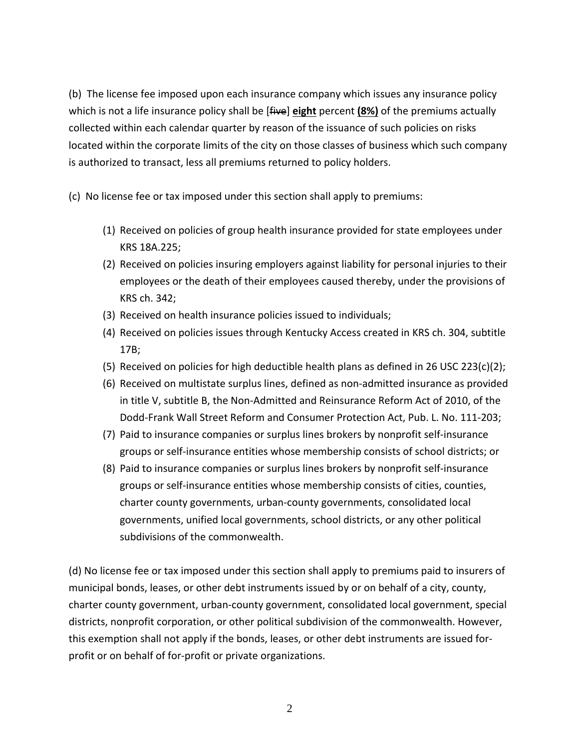(b) The license fee imposed upon each insurance company which issues any insurance policy which is not a life insurance policy shall be [five] **eight** percent **(8%)** of the premiums actually collected within each calendar quarter by reason of the issuance of such policies on risks located within the corporate limits of the city on those classes of business which such company is authorized to transact, less all premiums returned to policy holders.

- (c) No license fee or tax imposed under this section shall apply to premiums:
	- (1) Received on policies of group health insurance provided for state employees under KRS 18A.225;
	- (2) Received on policies insuring employers against liability for personal injuries to their employees or the death of their employees caused thereby, under the provisions of KRS ch. 342;
	- (3) Received on health insurance policies issued to individuals;
	- (4) Received on policies issues through Kentucky Access created in KRS ch. 304, subtitle 17B;
	- (5) Received on policies for high deductible health plans as defined in 26 USC 223(c)(2);
	- (6) Received on multistate surplus lines, defined as non-admitted insurance as provided in title V, subtitle B, the Non-Admitted and Reinsurance Reform Act of 2010, of the Dodd-Frank Wall Street Reform and Consumer Protection Act, Pub. L. No. 111-203;
	- (7) Paid to insurance companies or surplus lines brokers by nonprofit self-insurance groups or self-insurance entities whose membership consists of school districts; or
	- (8) Paid to insurance companies or surplus lines brokers by nonprofit self-insurance groups or self-insurance entities whose membership consists of cities, counties, charter county governments, urban-county governments, consolidated local governments, unified local governments, school districts, or any other political subdivisions of the commonwealth.

(d) No license fee or tax imposed under this section shall apply to premiums paid to insurers of municipal bonds, leases, or other debt instruments issued by or on behalf of a city, county, charter county government, urban-county government, consolidated local government, special districts, nonprofit corporation, or other political subdivision of the commonwealth. However, this exemption shall not apply if the bonds, leases, or other debt instruments are issued forprofit or on behalf of for-profit or private organizations.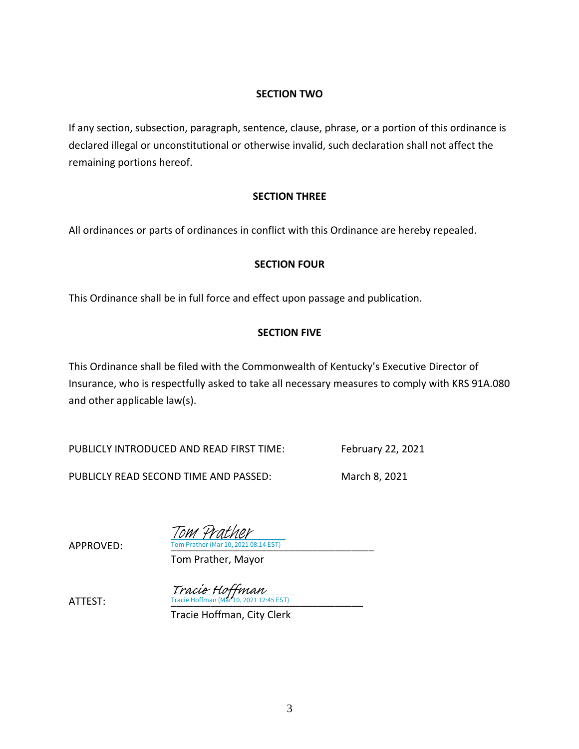#### **SECTION TWO**

If any section, subsection, paragraph, sentence, clause, phrase, or a portion of this ordinance is declared illegal or unconstitutional or otherwise invalid, such declaration shall not affect the remaining portions hereof.

#### **SECTION THREE**

All ordinances or parts of ordinances in conflict with this Ordinance are hereby repealed.

#### **SECTION FOUR**

This Ordinance shall be in full force and effect upon passage and publication.

#### **SECTION FIVE**

This Ordinance shall be filed with the Commonwealth of Kentucky's Executive Director of Insurance, who is respectfully asked to take all necessary measures to comply with KRS 91A.080 and other applicable law(s).

PUBLICLY INTRODUCED AND READ FIRST TIME: February 22, 2021

PUBLICLY READ SECOND TIME AND PASSED: March 8, 2021

APPROVED: Tom Prather (Mar 10, 2021 08:14 EST) Tom Prather

Tom Prather, Mayor

**ATTEST:** Tracie Hoffman (Mar 10, 2021 12:45 EST) Tracie Hoffman

Tracie Hoffman, City Clerk